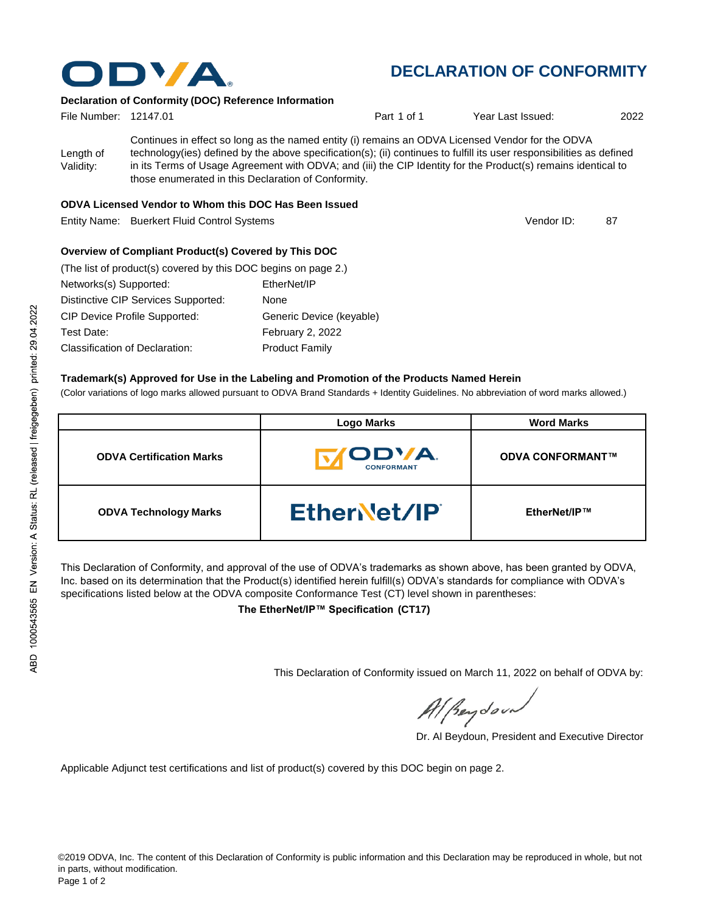

# **DECLARATION OF CONFORMITY**

### **Declaration of Conformity (DOC) Reference Information**

| File Number: 12147.01  |                                                                                                                                                                                                                                                                                                                                                                                                   | Part 1 of 1 | Year Last Issued: | 2022 |
|------------------------|---------------------------------------------------------------------------------------------------------------------------------------------------------------------------------------------------------------------------------------------------------------------------------------------------------------------------------------------------------------------------------------------------|-------------|-------------------|------|
| Length of<br>Validity: | Continues in effect so long as the named entity (i) remains an ODVA Licensed Vendor for the ODVA<br>technology(ies) defined by the above specification(s); (ii) continues to fulfill its user responsibilities as defined<br>in its Terms of Usage Agreement with ODVA; and (iii) the CIP Identity for the Product(s) remains identical to<br>those enumerated in this Declaration of Conformity. |             |                   |      |

#### **ODVA Licensed Vendor to Whom this DOC Has Been Issued**

Entity Name: Buerkert Fluid Control Systems 87 (1999) 87 (1999) 87

**Overview of Compliant Product(s) Covered by This DOC** 

| (The list of product(s) covered by this DOC begins on page 2.) |                          |
|----------------------------------------------------------------|--------------------------|
| Networks(s) Supported:                                         | EtherNet/IP              |
| Distinctive CIP Services Supported:                            | None                     |
| <b>CIP Device Profile Supported:</b>                           | Generic Device (keyable) |
| Test Date:                                                     | February 2, 2022         |
| <b>Classification of Declaration:</b>                          | <b>Product Family</b>    |

#### **Trademark(s) Approved for Use in the Labeling and Promotion of the Products Named Herein**

(Color variations of logo marks allowed pursuant to ODVA Brand Standards + Identity Guidelines. No abbreviation of word marks allowed.)

|                                 | <b>Logo Marks</b>                  | <b>Word Marks</b>       |  |
|---------------------------------|------------------------------------|-------------------------|--|
| <b>ODVA Certification Marks</b> | <b>IODVA.</b><br><b>CONFORMANT</b> | <b>ODVA CONFORMANT™</b> |  |
| <b>ODVA Technology Marks</b>    | Ether et/IP                        | EtherNet/IP™            |  |

This Declaration of Conformity, and approval of the use of ODVA's trademarks as shown above, has been granted by ODVA, Inc. based on its determination that the Product(s) identified herein fulfill(s) ODVA's standards for compliance with ODVA's specifications listed below at the ODVA composite Conformance Test (CT) level shown in parentheses:

**The EtherNet/IP™ Specification (CT17)**

This Declaration of Conformity issued on March 11, 2022 on behalf of ODVA by:

Al Beydoor

Dr. Al Beydoun, President and Executive Director

Applicable Adjunct test certifications and list of product(s) covered by this DOC begin on page 2.

Vendor ID: